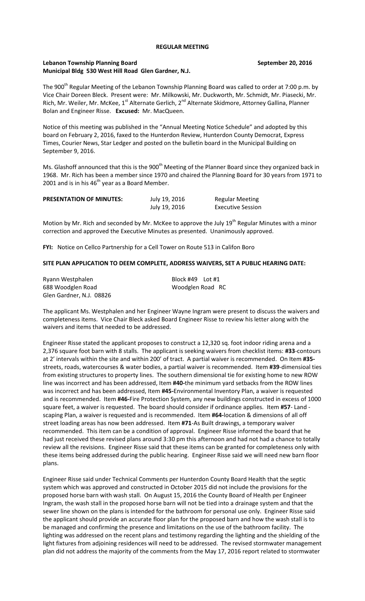#### **REGULAR MEETING**

### **Lebanon Township Planning Board September 20, 2016 Municipal Bldg 530 West Hill Road Glen Gardner, N.J.**

The 900<sup>th</sup> Regular Meeting of the Lebanon Township Planning Board was called to order at 7:00 p.m. by Vice Chair Doreen Bleck. Present were: Mr. Milkowski, Mr. Duckworth, Mr. Schmidt, Mr. Piasecki, Mr. Rich, Mr. Weiler, Mr. McKee, 1<sup>st</sup> Alternate Gerlich, 2<sup>nd</sup> Alternate Skidmore, Attorney Gallina, Planner Bolan and Engineer Risse. **Excused:** Mr. MacQueen.

Notice of this meeting was published in the "Annual Meeting Notice Schedule" and adopted by this board on February 2, 2016, faxed to the Hunterdon Review, Hunterdon County Democrat, Express Times, Courier News, Star Ledger and posted on the bulletin board in the Municipal Building on September 9, 2016.

Ms. Glashoff announced that this is the 900<sup>th</sup> Meeting of the Planner Board since they organized back in 1968. Mr. Rich has been a member since 1970 and chaired the Planning Board for 30 years from 1971 to 2001 and is in his  $46<sup>th</sup>$  year as a Board Member.

| <b>PRESENTATION OF MINUTES:</b> | July 19, 2016 | <b>Regular Meeting</b>   |  |
|---------------------------------|---------------|--------------------------|--|
|                                 | July 19, 2016 | <b>Executive Session</b> |  |

Motion by Mr. Rich and seconded by Mr. McKee to approve the July 19<sup>th</sup> Regular Minutes with a minor correction and approved the Executive Minutes as presented. Unanimously approved.

**FYI:** Notice on Cellco Partnership for a Cell Tower on Route 513 in Califon Boro

#### **SITE PLAN APPLICATION TO DEEM COMPLETE, ADDRESS WAIVERS, SET A PUBLIC HEARING DATE:**

| Ryann Westphalen         | Block $#49$ Lot $#1$ |
|--------------------------|----------------------|
| 688 Woodglen Road        | Woodglen Road RC     |
| Glen Gardner, N.J. 08826 |                      |

The applicant Ms. Westphalen and her Engineer Wayne Ingram were present to discuss the waivers and completeness items. Vice Chair Bleck asked Board Engineer Risse to review his letter along with the waivers and items that needed to be addressed.

Engineer Risse stated the applicant proposes to construct a 12,320 sq. foot indoor riding arena and a 2,376 square foot barn with 8 stalls. The applicant is seeking waivers from checklist items: **#33**-contours at 2' intervals within the site and within 200' of tract. A partial waiver is recommended. On Item **#35** streets, roads, watercourses & water bodies, a partial waiver is recommended. Item **#39**-dimensioal ties from existing structures to property lines. The southern dimensional tie for existing home to new ROW line was incorrect and has been addressed, Item **#40-**the minimum yard setbacks from the ROW lines was incorrect and has been addressed, Item **#45-**Environmental Inventory Plan, a waiver is requested and is recommended. Item **#46-**Fire Protection System, any new buildings constructed in excess of 1000 square feet, a waiver is requested. The board should consider if ordinance applies. Item **#57**- Land scaping Plan, a waiver is requested and is recommended. Item **#64-**location & dimensions of all off street loading areas has now been addressed. Item **#71**-As Built drawings, a temporary waiver recommended. This item can be a condition of approval. Engineer Risse informed the board that he had just received these revised plans around 3:30 pm this afternoon and had not had a chance to totally review all the revisions. Engineer Risse said that these items can be granted for completeness only with these items being addressed during the public hearing. Engineer Risse said we will need new barn floor plans.

Engineer Risse said under Technical Comments per Hunterdon County Board Health that the septic system which was approved and constructed in October 2015 did not include the provisions for the proposed horse barn with wash stall. On August 15, 2016 the County Board of Health per Engineer Ingram, the wash stall in the proposed horse barn will not be tied into a drainage system and that the sewer line shown on the plans is intended for the bathroom for personal use only. Engineer Risse said the applicant should provide an accurate floor plan for the proposed barn and how the wash stall is to be managed and confirming the presence and limitations on the use of the bathroom facility. The lighting was addressed on the recent plans and testimony regarding the lighting and the shielding of the light fixtures from adjoining residences will need to be addressed. The revised stormwater management plan did not address the majority of the comments from the May 17, 2016 report related to stormwater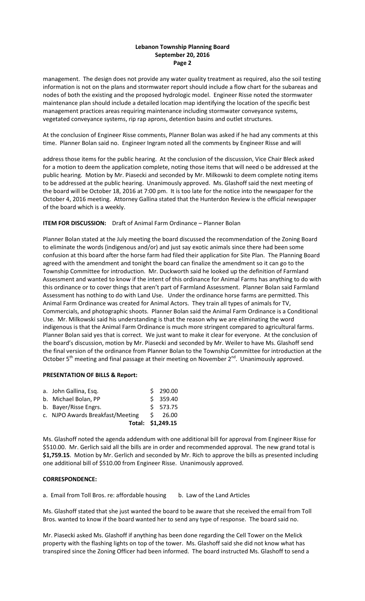# **Lebanon Township Planning Board September 20, 2016 Page 2**

management. The design does not provide any water quality treatment as required, also the soil testing information is not on the plans and stormwater report should include a flow chart for the subareas and nodes of both the existing and the proposed hydrologic model. Engineer Risse noted the stormwater maintenance plan should include a detailed location map identifying the location of the specific best management practices areas requiring maintenance including stormwater conveyance systems, vegetated conveyance systems, rip rap aprons, detention basins and outlet structures.

At the conclusion of Engineer Risse comments, Planner Bolan was asked if he had any comments at this time. Planner Bolan said no. Engineer Ingram noted all the comments by Engineer Risse and will

address those items for the public hearing. At the conclusion of the discussion, Vice Chair Bleck asked for a motion to deem the application complete, noting those items that will need o be addressed at the public hearing. Motion by Mr. Piasecki and seconded by Mr. Milkowski to deem complete noting items to be addressed at the public hearing. Unanimously approved. Ms. Glashoff said the next meeting of the board will be October 18, 2016 at 7:00 pm. It is too late for the notice into the newspaper for the October 4, 2016 meeting. Attorney Gallina stated that the Hunterdon Review is the official newspaper of the board which is a weekly.

# **ITEM FOR DISCUSSION:** Draft of Animal Farm Ordinance – Planner Bolan

Planner Bolan stated at the July meeting the board discussed the recommendation of the Zoning Board to eliminate the words (indigenous and/or) and just say exotic animals since there had been some confusion at this board after the horse farm had filed their application for Site Plan. The Planning Board agreed with the amendment and tonight the board can finalize the amendment so it can go to the Township Committee for introduction. Mr. Duckworth said he looked up the definition of Farmland Assessment and wanted to know if the intent of this ordinance for Animal Farms has anything to do with this ordinance or to cover things that aren't part of Farmland Assessment. Planner Bolan said Farmland Assessment has nothing to do with Land Use. Under the ordinance horse farms are permitted. This Animal Farm Ordinance was created for Animal Actors. They train all types of animals for TV, Commercials, and photographic shoots. Planner Bolan said the Animal Farm Ordinance is a Conditional Use. Mr. Milkowski said his understanding is that the reason why we are eliminating the word indigenous is that the Animal Farm Ordinance is much more stringent compared to agricultural farms. Planner Bolan said yes that is correct. We just want to make it clear for everyone. At the conclusion of the board's discussion, motion by Mr. Piasecki and seconded by Mr. Weiler to have Ms. Glashoff send the final version of the ordinance from Planner Bolan to the Township Committee for introduction at the October  $5<sup>th</sup>$  meeting and final passage at their meeting on November  $2<sup>nd</sup>$ . Unanimously approved.

# **PRESENTATION OF BILLS & Report:**

| a. John Gallina, Esq.            | \$290.00          |
|----------------------------------|-------------------|
| b. Michael Bolan, PP             | \$359.40          |
| b. Bayer/Risse Engrs.            | \$573.75          |
| c. NJPO Awards Breakfast/Meeting | \$26.00           |
|                                  | Total: \$1,249.15 |
|                                  |                   |

Ms. Glashoff noted the agenda addendum with one additional bill for approval from Engineer Risse for \$510.00. Mr. Gerlich said all the bills are in order and recommended approval. The new grand total is **\$1,759.15**. Motion by Mr. Gerlich and seconded by Mr. Rich to approve the bills as presented including one additional bill of \$510.00 from Engineer Risse. Unanimously approved.

# **CORRESPONDENCE:**

a. Email from Toll Bros. re: affordable housing b. Law of the Land Articles

Ms. Glashoff stated that she just wanted the board to be aware that she received the email from Toll Bros. wanted to know if the board wanted her to send any type of response. The board said no.

Mr. Piasecki asked Ms. Glashoff if anything has been done regarding the Cell Tower on the Melick property with the flashing lights on top of the tower. Ms. Glashoff said she did not know what has transpired since the Zoning Officer had been informed. The board instructed Ms. Glashoff to send a